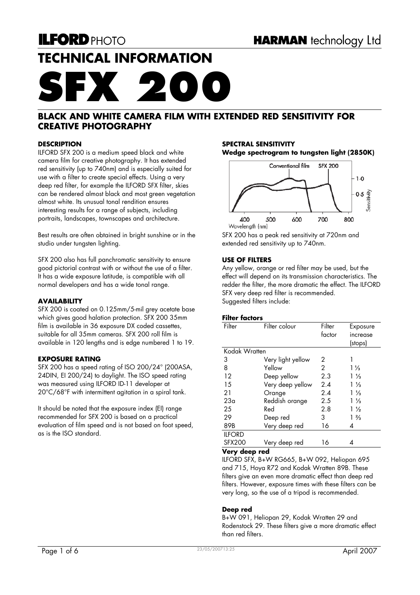# **TECHNICAL INFORMATION**

# **SFX 200**

## **BLACK AND WHITE CAMERA FILM WITH EXTENDED RED SENSITIVITY FOR CREATIVE PHOTOGRAPHY**

#### **DESCRIPTION**

ILFORD SFX 200 is a medium speed black and white camera film for creative photography. It has extended red sensitivity (up to 740nm) and is especially suited for use with a filter to create special effects. Using a very deep red filter, for example the ILFORD SFX filter, skies can be rendered almost black and most green vegetation almost white. Its unusual tonal rendition ensures interesting results for a range of subjects, including portraits, landscapes, townscapes and architecture.

Best results are often obtained in bright sunshine or in the studio under tungsten lighting.

SFX 200 also has full panchromatic sensitivity to ensure good pictorial contrast with or without the use of a filter. It has a wide exposure latitude, is compatible with all normal developers and has a wide tonal range.

#### **AVAILABILITY**

SFX 200 is coated on 0.125mm/5-mil grey acetate base which gives good halation protection. SFX 200 35mm film is available in 36 exposure DX coded cassettes, suitable for all 35mm cameras. SFX 200 roll film is available in 120 lengths and is edge numbered 1 to 19.

#### **EXPOSURE RATING**

SFX 200 has a speed rating of ISO 200/24° (200ASA, 24DIN, EI 200/24) to daylight. The ISO speed rating was measured using ILFORD ID-11 developer at 20°C/68°F with intermittent agitation in a spiral tank.

It should be noted that the exposure index (EI) range recommended for SFX 200 is based on a practical evaluation of film speed and is not based on foot speed, as is the ISO standard.

#### **SPECTRAL SENSITIVITY Wedge spectrogram to tungsten light (2850K)**



SFX 200 has a peak red sensitivity at 720nm and extended red sensitivity up to 740nm.

#### **USE OF FILTERS**

Any yellow, orange or red filter may be used, but the effect will depend on its transmission characteristics. The redder the filter, the more dramatic the effect. The ILFORD SFX very deep red filter is recommended. Suggested filters include:

#### **Filter factors**

| (stops)<br>Kodak Wratten<br>3<br>Very light yellow<br>2<br>8<br>Yellow<br>2<br>$1\frac{1}{3}$<br>12<br>2.3<br>Deep yellow<br>$1\frac{1}{3}$<br>Very deep yellow<br>15<br>2.4<br>$1\frac{1}{3}$<br>21<br>2.4<br>$1\frac{1}{3}$<br>Orange | Filter | Filter colour  | Filter<br>factor | Exposure<br>increase |
|-----------------------------------------------------------------------------------------------------------------------------------------------------------------------------------------------------------------------------------------|--------|----------------|------------------|----------------------|
|                                                                                                                                                                                                                                         |        |                |                  |                      |
|                                                                                                                                                                                                                                         |        |                |                  |                      |
|                                                                                                                                                                                                                                         |        |                |                  |                      |
|                                                                                                                                                                                                                                         |        |                |                  |                      |
|                                                                                                                                                                                                                                         |        |                |                  |                      |
|                                                                                                                                                                                                                                         |        |                |                  |                      |
|                                                                                                                                                                                                                                         |        |                |                  |                      |
|                                                                                                                                                                                                                                         | 23a    | Reddish orange | 2.5              | $1\frac{1}{3}$       |
| 25<br>Red<br>2.8<br>$1\frac{1}{2}$                                                                                                                                                                                                      |        |                |                  |                      |
| 29<br>$1\frac{2}{3}$<br>3<br>Deep red                                                                                                                                                                                                   |        |                |                  |                      |
| Very deep red<br>89B<br>16<br>4                                                                                                                                                                                                         |        |                |                  |                      |
| <b>ILFORD</b>                                                                                                                                                                                                                           |        |                |                  |                      |
| <b>SFX200</b><br>Very deep red<br>16<br>4                                                                                                                                                                                               |        |                |                  |                      |

#### **Very deep red**

ILFORD SFX, B+W RG665, B+W 092, Heliopan 695 and 715, Hoya R72 and Kodak Wratten 89B. These filters give an even more dramatic effect than deep red filters. However, exposure times with these filters can be very long, so the use of a tripod is recommended.

#### **Deep red**

B+W 091, Heliopan 29, Kodak Wratten 29 and Rodenstock 29. These filters give a more dramatic effect than red filters.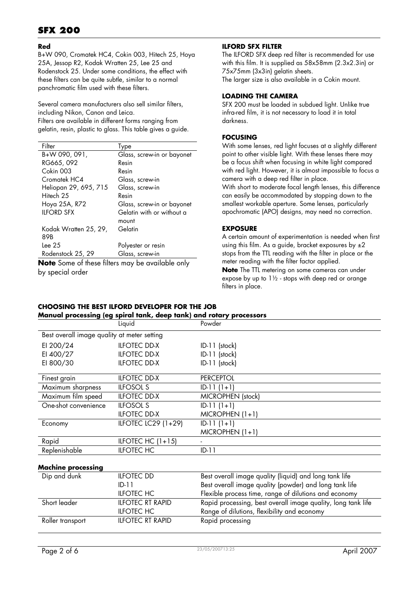# **SFX 200**

#### **Red**

B+W 090, Cromatek HC4, Cokin 003, Hitech 25, Hoya 25A, Jessop R2, Kodak Wratten 25, Lee 25 and Rodenstock 25. Under some conditions, the effect with these filters can be quite subtle, similar to a normal panchromatic film used with these filters.

Several camera manufacturers also sell similar filters, including Nikon, Canon and Leica. Filters are available in different forms ranging from gelatin, resin, plastic to glass. This table gives a guide.

| Filter                | <b>lype</b>                |
|-----------------------|----------------------------|
| B+W 090, 091,         | Glass, screw-in or bayonet |
| RG665, 092            | Resin                      |
| Cokin 003             | Resin                      |
| Cromatek HC4          | Glass, screw-in            |
| Heliopan 29, 695, 715 | Glass, screw-in            |
| Hitech 25             | Resin                      |
| Hoya 25A, R72         | Glass, screw-in or bayonet |
| <b>IIFORD SFX</b>     | Gelatin with or without a  |
|                       | mount                      |
| Kodak Wratten 25, 29, | Gelatin                    |
| 89B                   |                            |
| lee 25                | Polyester or resin         |
| Rodenstock 25, 29     | Glass, screw-in            |

**Note** Some of these filters may be available only by special order

#### **ILFORD SFX FILTER**

The ILFORD SFX deep red filter is recommended for use with this film. It is supplied as 58x58mm (2.3x2.3in) or 75x75mm (3x3in) gelatin sheets. The larger size is also available in a Cokin mount.

#### **LOADING THE CAMERA**

SFX 200 must be loaded in subdued light. Unlike true infra-red film, it is not necessary to load it in total darkness.

#### **FOCUSING**

With some lenses, red light focuses at a slightly different point to other visible light. With these lenses there may be a focus shift when focusing in white light compared with red light. However, it is almost impossible to focus a camera with a deep red filter in place.

With short to moderate focal length lenses, this difference can easily be accommodated by stopping down to the smallest workable aperture. Some lenses, particularly apochromatic (APO) designs, may need no correction.

#### **EXPOSURE**

A certain amount of experimentation is needed when first using this film. As a guide, bracket exposures by  $\pm 2$ stops from the TTL reading with the filter in place or the meter reading with the filter factor applied.

**Note** The TTL metering on some cameras can under expose by up to  $1\frac{1}{2}$  - stops with deep red or orange filters in place.

#### **CHOOSING THE BEST ILFORD DEVELOPER FOR THE JOB Manual processing (eg spiral tank, deep tank) and rotary processors**

|                                             | Liquid              | Powder                   |
|---------------------------------------------|---------------------|--------------------------|
| Best overall image quality at meter setting |                     |                          |
| EI 200/24                                   | <b>ILFOTEC DD-X</b> | $ID-11$ (stock)          |
| EI 400/27                                   | <b>ILFOTEC DD-X</b> | ID-11 (stock)            |
| EI 800/30                                   | <b>ILFOTEC DD-X</b> | ID-11 (stock)            |
| Finest grain                                | <b>ILFOTEC DD-X</b> | <b>PERCEPTOL</b>         |
| Maximum sharpness                           | <b>ILFOSOL S</b>    | $ID-11(1+1)$             |
| Maximum film speed                          | <b>ILFOTEC DD-X</b> | <b>MICROPHEN</b> (stock) |
| One-shot convenience                        | <b>ILFOSOL S</b>    | $ID-11(1+1)$             |
|                                             | <b>ILFOTEC DD-X</b> | $MICROPHEN (1+1)$        |
| Economy                                     | ILFOTEC LC29 (1+29) | $ID-11(1+1)$             |
|                                             |                     | $MICROPHEN (1+1)$        |
| Rapid                                       | ILFOTEC HC $(1+15)$ |                          |
| Replenishable                               | <b>ILFOTEC HC</b>   | $ID-11$                  |
|                                             |                     |                          |

#### **Machine processing**

| Dip and dunk     | <b>ILFOTEC DD</b>       | Best overall image quality (liquid) and long tank life       |
|------------------|-------------------------|--------------------------------------------------------------|
|                  | $ID-11$                 | Best overall image quality (powder) and long tank life       |
|                  | <b>ILFOTEC HC</b>       | Flexible process time, range of dilutions and economy        |
| Short leader     | <b>ILFOTEC RT RAPID</b> | Rapid processing, best overall image quality, long tank life |
|                  | <b>ILFOTEC HC</b>       | Range of dilutions, flexibility and economy                  |
| Roller transport | <b>ILFOTEC RT RAPID</b> | Rapid processing                                             |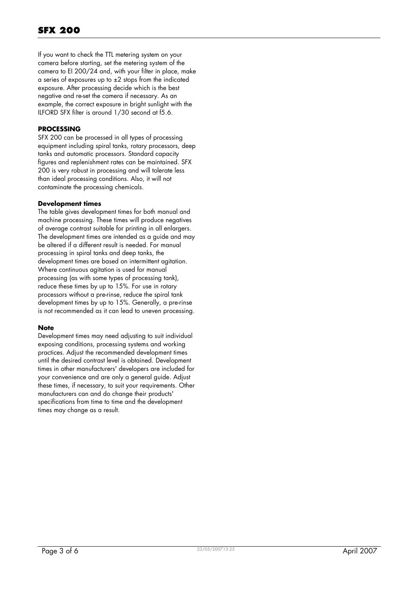If you want to check the TTL metering system on your camera before starting, set the metering system of the camera to EI 200/24 and, with your filter in place, make a series of exposures up to  $\pm 2$  stops from the indicated exposure. After processing decide which is the best negative and re-set the camera if necessary. As an example, the correct exposure in bright sunlight with the ILFORD SFX filter is around 1/30 second at f5.6.

#### **PROCESSING**

SFX 200 can be processed in all types of processing equipment including spiral tanks, rotary processors, deep tanks and automatic processors. Standard capacity figures and replenishment rates can be maintained. SFX 200 is very robust in processing and will tolerate less than ideal processing conditions. Also, it will not contaminate the processing chemicals.

#### **Development times**

The table gives development times for both manual and machine processing. These times will produce negatives of average contrast suitable for printing in all enlargers. The development times are intended as a guide and may be altered if a different result is needed. For manual processing in spiral tanks and deep tanks, the development times are based on intermittent agitation. Where continuous agitation is used for manual processing (as with some types of processing tank), reduce these times by up to 15%. For use in rotary processors without a pre-rinse, reduce the spiral tank development times by up to 15%. Generally, a pre-rinse is not recommended as it can lead to uneven processing.

#### **Note**

Development times may need adjusting to suit individual exposing conditions, processing systems and working practices. Adjust the recommended development times until the desired contrast level is obtained. Development times in other manufacturers' developers are included for your convenience and are only a general guide. Adjust these times, if necessary, to suit your requirements. Other manufacturers can and do change their products' specifications from time to time and the development times may change as a result.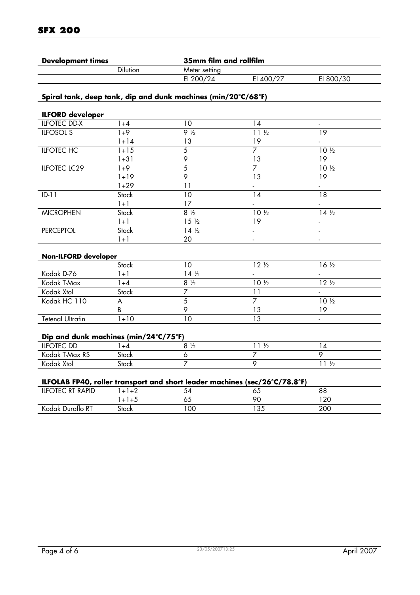| <b>Development times</b> | 35mm film and rollfilm |           |           |
|--------------------------|------------------------|-----------|-----------|
| <b>Dilution</b>          | Meter setting          |           |           |
|                          | EI 200/24              | EI 400/27 | EI 800/30 |
|                          |                        |           |           |

## **Spiral tank, deep tank, dip and dunk machines (min/20°C/68°F)**

| <b>ILFORD developer</b>               |          |                     |                                  |                 |
|---------------------------------------|----------|---------------------|----------------------------------|-----------------|
| <b>ILFOTEC DD-X</b>                   | $1 + 4$  | 10                  | 14                               | $\blacksquare$  |
| <b>ILFOSOL S</b>                      | $1+9$    | $9\frac{1}{2}$      | $11\frac{1}{2}$                  | $\overline{19}$ |
|                                       | $1 + 14$ | 13                  | 19                               |                 |
| <b>ILFOTEC HC</b>                     | $1 + 15$ | $\overline{5}$      | $\overline{7}$                   | $10\frac{1}{2}$ |
|                                       | $1 + 31$ | 9                   | 13                               | 19              |
| <b>ILFOTEC LC29</b>                   | $1+9$    | $\overline{5}$      | $\overline{7}$                   | $10\frac{1}{2}$ |
|                                       | $1 + 19$ | 9                   | 13                               | 19              |
|                                       | $1 + 29$ | 11                  |                                  |                 |
| $ID-11$                               | Stock    | 10                  | 14                               | $\overline{18}$ |
|                                       | $1 + 1$  | 17                  |                                  |                 |
| <b>MICROPHEN</b>                      | Stock    | $8\frac{1}{2}$      | $10\frac{1}{2}$                  | $14\frac{1}{2}$ |
|                                       | $1 + 1$  | $15\frac{1}{2}$     | 19                               |                 |
| <b>PERCEPTOL</b>                      | Stock    | $14\frac{1}{2}$     |                                  |                 |
|                                       | $1 + 1$  | 20                  |                                  |                 |
| Non-ILFORD developer                  |          |                     |                                  |                 |
|                                       | Stock    | 10 <sup>°</sup>     | $12\sqrt{2}$                     | $16\frac{1}{2}$ |
| Kodak D-76                            | $1 + 1$  | $14\frac{1}{2}$     |                                  |                 |
| Kodak T-Max                           | $1 + 4$  |                     |                                  |                 |
|                                       |          | $8\frac{1}{2}$      | $10\frac{1}{2}$                  | $12\frac{1}{2}$ |
| Kodak Xtol                            | Stock    | $\overline{7}$      |                                  | $\blacksquare$  |
| Kodak HC 110                          | A        | $\overline{5}$      | 11<br>$\overline{7}$             | 10 1/2          |
|                                       | B        | 9                   | 13                               | 19              |
| <b>Tetenal Ultrafin</b>               | $1+10$   | 10                  | $\overline{13}$                  | $\mathbf{r}$    |
| Dip and dunk machines (min/24°C/75°F) |          |                     |                                  |                 |
| <b>ILFOTEC DD</b>                     | $1 + 4$  | $8\frac{1}{2}$      | $11\frac{1}{2}$                  | 14              |
| Kodak T-Max RS                        | Stock    | 6<br>$\overline{7}$ | $\overline{7}$<br>$\overline{9}$ | 9               |

#### **ILFOLAB FP40, roller transport and short leader machines (sec/26°C/78.8°F)**

| <b>RT RAPID</b><br>$II$ FOTEC |       | 34   | ິ        | 88       |  |
|-------------------------------|-------|------|----------|----------|--|
|                               | +.    | ပ.   | ററ       | ററ<br>۷Z |  |
| Duraflo RT<br>nodak '         | Stock | 00 I | ΩC<br>აა | 200      |  |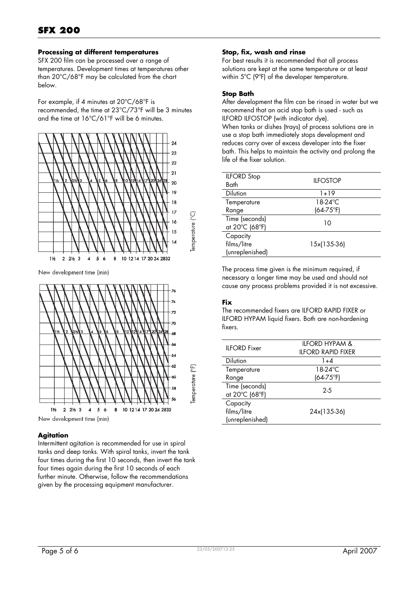#### **Processing at different temperatures**

SFX 200 film can be processed over a range of temperatures. Development times at temperatures other than 20°C/68°F may be calculated from the chart below.

For example, if 4 minutes at 20°C/68°F is recommended, the time at 23°C/73°F will be 3 minutes and the time at 16°C/61°F will be 6 minutes.



New development time (min)



#### **Agitation**

Intermittent agitation is recommended for use in spiral tanks and deep tanks. With spiral tanks, invert the tank four times during the first 10 seconds, then invert the tank four times again during the first 10 seconds of each further minute. Otherwise, follow the recommendations given by the processing equipment manufacturer.

#### **Stop, fix, wash and rinse**

For best results it is recommended that all process solutions are kept at the same temperature or at least within 5ºC (9ºF) of the developer temperature.

#### **Stop Bath**

After development the film can be rinsed in water but we recommend that an acid stop bath is used - such as ILFORD ILFOSTOP (with indicator dye).

When tanks or dishes (trays) of process solutions are in use a stop bath immediately stops development and reduces carry over of excess developer into the fixer bath. This helps to maintain the activity and prolong the life of the fixer solution.

| <b>ILFORD Stop</b><br>Bath                 | <b>IIFOSTOP</b> |
|--------------------------------------------|-----------------|
| <b>Dilution</b>                            | 1+19            |
| Temperature                                | 18-24°C         |
| Range                                      | $(64-75°F)$     |
| Time (seconds)<br>at 20°C (68°F)           | 10              |
| Capacity<br>films/litre<br>(unreplenished) | 15x(135-36)     |

The process time given is the minimum required, if necessary a longer time may be used and should not cause any process problems provided it is not excessive.

#### **Fix**

The recommended fixers are ILFORD RAPID FIXER or ILFORD HYPAM liquid fixers. Both are non-hardening fixers.

| <b>IIFORD</b> Fixer                        | II FORD HYPAM &<br><b>ILFORD RAPID FIXER</b> |
|--------------------------------------------|----------------------------------------------|
| <b>Dilution</b>                            | 1+4                                          |
| Temperature                                | 18-24°C                                      |
| Range                                      | $(64-75°F)$                                  |
| Time (seconds)<br>at 20°C (68°F)           | $2-5$                                        |
| Capacity<br>films/litre<br>(unreplenished) | 24x(135-36)                                  |